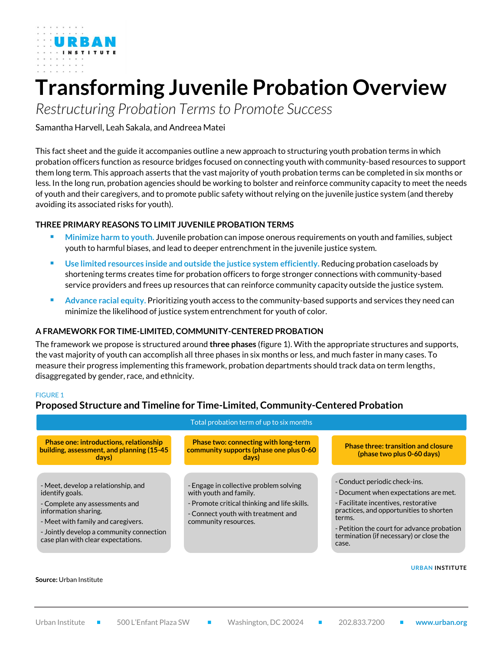

# **Transforming Juvenile Probation Overview**

*Restructuring Probation Terms to Promote Success*

Samantha Harvell, Leah Sakala, and Andreea Matei

This fact sheet and the guide it accompanies outline a new approach to structuring youth probation terms in which probation officers function as resource bridges focused on connecting youth with community-based resources to support them long term. This approach asserts that the vast majority of youth probation terms can be completed in six months or less. In the long run, probation agencies should be working to bolster and reinforce community capacity to meet the needs of youth and their caregivers, and to promote public safety without relying on the juvenile justice system (and thereby avoiding its associated risks for youth).

# **THREE PRIMARY REASONS TO LIMIT JUVENILE PROBATION TERMS**

- <sup>◼</sup> **Minimize harm to youth.** Juvenile probation can impose onerous requirements on youth and families, subject youth to harmful biases, and lead to deeper entrenchment in the juvenile justice system.
- Use limited resources inside and outside the justice system efficiently. Reducing probation caseloads by shortening terms creates time for probation officers to forge stronger connections with community-based service providers and frees up resources that can reinforce community capacity outside the justice system.
- Advance racial equity. Prioritizing youth access to the community-based supports and services they need can minimize the likelihood of justice system entrenchment for youth of color.

# **A FRAMEWORK FOR TIME-LIMITED, COMMUNITY-CENTERED PROBATION**

The framework we propose is structured around **three phases** (figure 1). With the appropriate structures and supports, the vast majority of youth can accomplish all three phases in six months or less, and much faster in many cases. To measure their progress implementing this framework, probation departments should track data on term lengths, disaggregated by gender, race, and ethnicity.

#### FIGURE 1

# **Proposed Structure and Timeline for Time-Limited, Community-Centered Probation**